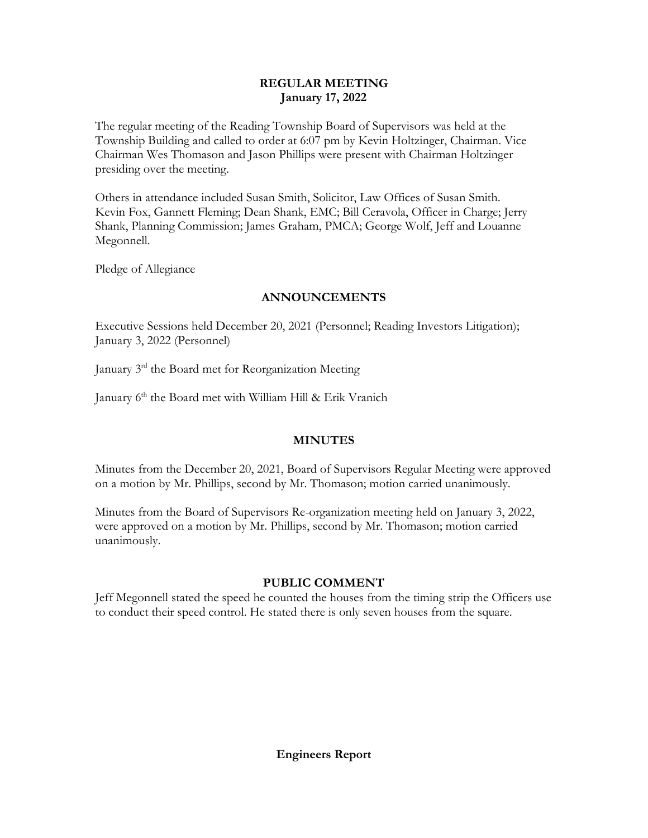# **REGULAR MEETING January 17, 2022**

The regular meeting of the Reading Township Board of Supervisors was held at the Township Building and called to order at 6:07 pm by Kevin Holtzinger, Chairman. Vice Chairman Wes Thomason and Jason Phillips were present with Chairman Holtzinger presiding over the meeting.

Others in attendance included Susan Smith, Solicitor, Law Offices of Susan Smith. Kevin Fox, Gannett Fleming; Dean Shank, EMC; Bill Ceravola, Officer in Charge; Jerry Shank, Planning Commission; James Graham, PMCA; George Wolf, Jeff and Louanne Megonnell.

Pledge of Allegiance

# **ANNOUNCEMENTS**

Executive Sessions held December 20, 2021 (Personnel; Reading Investors Litigation); January 3, 2022 (Personnel)

January 3rd the Board met for Reorganization Meeting

January 6<sup>th</sup> the Board met with William Hill & Erik Vranich

# **MINUTES**

Minutes from the December 20, 2021, Board of Supervisors Regular Meeting were approved on a motion by Mr. Phillips, second by Mr. Thomason; motion carried unanimously.

Minutes from the Board of Supervisors Re-organization meeting held on January 3, 2022, were approved on a motion by Mr. Phillips, second by Mr. Thomason; motion carried unanimously.

# **PUBLIC COMMENT**

Jeff Megonnell stated the speed he counted the houses from the timing strip the Officers use to conduct their speed control. He stated there is only seven houses from the square.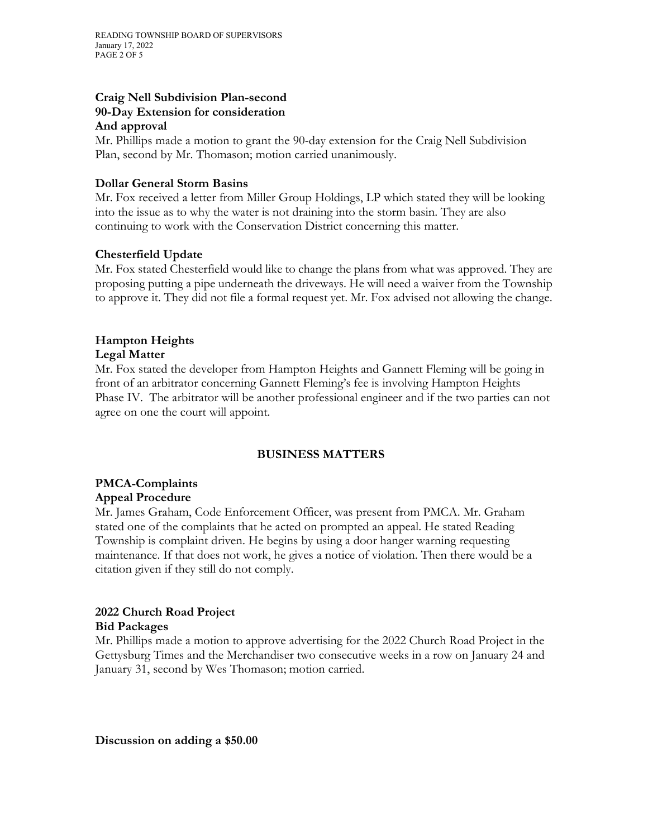#### **Craig Nell Subdivision Plan-second 90-Day Extension for consideration And approval**

Mr. Phillips made a motion to grant the 90-day extension for the Craig Nell Subdivision Plan, second by Mr. Thomason; motion carried unanimously.

## **Dollar General Storm Basins**

Mr. Fox received a letter from Miller Group Holdings, LP which stated they will be looking into the issue as to why the water is not draining into the storm basin. They are also continuing to work with the Conservation District concerning this matter.

## **Chesterfield Update**

Mr. Fox stated Chesterfield would like to change the plans from what was approved. They are proposing putting a pipe underneath the driveways. He will need a waiver from the Township to approve it. They did not file a formal request yet. Mr. Fox advised not allowing the change.

#### **Hampton Heights Legal Matter**

Mr. Fox stated the developer from Hampton Heights and Gannett Fleming will be going in front of an arbitrator concerning Gannett Fleming's fee is involving Hampton Heights Phase IV. The arbitrator will be another professional engineer and if the two parties can not agree on one the court will appoint.

# **BUSINESS MATTERS**

#### **PMCA-Complaints Appeal Procedure**

Mr. James Graham, Code Enforcement Officer, was present from PMCA. Mr. Graham stated one of the complaints that he acted on prompted an appeal. He stated Reading Township is complaint driven. He begins by using a door hanger warning requesting maintenance. If that does not work, he gives a notice of violation. Then there would be a citation given if they still do not comply.

# **2022 Church Road Project**

#### **Bid Packages**

Mr. Phillips made a motion to approve advertising for the 2022 Church Road Project in the Gettysburg Times and the Merchandiser two consecutive weeks in a row on January 24 and January 31, second by Wes Thomason; motion carried.

**Discussion on adding a \$50.00**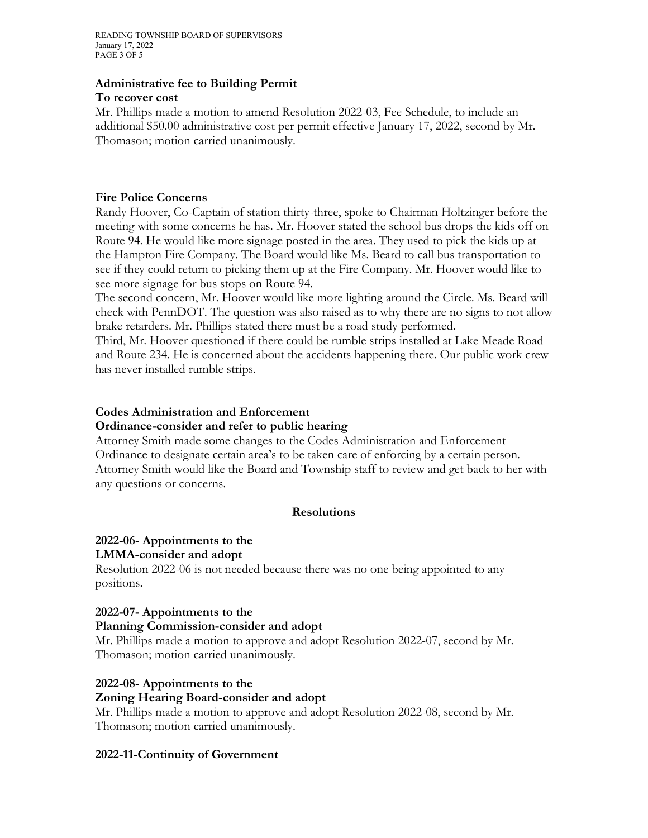READING TOWNSHIP BOARD OF SUPERVISORS January 17, 2022 PAGE 3 OF 5

#### **Administrative fee to Building Permit**

#### **To recover cost**

Mr. Phillips made a motion to amend Resolution 2022-03, Fee Schedule, to include an additional \$50.00 administrative cost per permit effective January 17, 2022, second by Mr. Thomason; motion carried unanimously.

#### **Fire Police Concerns**

Randy Hoover, Co-Captain of station thirty-three, spoke to Chairman Holtzinger before the meeting with some concerns he has. Mr. Hoover stated the school bus drops the kids off on Route 94. He would like more signage posted in the area. They used to pick the kids up at the Hampton Fire Company. The Board would like Ms. Beard to call bus transportation to see if they could return to picking them up at the Fire Company. Mr. Hoover would like to see more signage for bus stops on Route 94.

The second concern, Mr. Hoover would like more lighting around the Circle. Ms. Beard will check with PennDOT. The question was also raised as to why there are no signs to not allow brake retarders. Mr. Phillips stated there must be a road study performed.

Third, Mr. Hoover questioned if there could be rumble strips installed at Lake Meade Road and Route 234. He is concerned about the accidents happening there. Our public work crew has never installed rumble strips.

#### **Codes Administration and Enforcement Ordinance-consider and refer to public hearing**

Attorney Smith made some changes to the Codes Administration and Enforcement Ordinance to designate certain area's to be taken care of enforcing by a certain person. Attorney Smith would like the Board and Township staff to review and get back to her with any questions or concerns.

#### **Resolutions**

#### **2022-06- Appointments to the**

#### **LMMA-consider and adopt**

Resolution 2022-06 is not needed because there was no one being appointed to any positions.

#### **2022-07- Appointments to the**

#### **Planning Commission-consider and adopt**

Mr. Phillips made a motion to approve and adopt Resolution 2022-07, second by Mr. Thomason; motion carried unanimously.

#### **2022-08- Appointments to the**

#### **Zoning Hearing Board-consider and adopt**

Mr. Phillips made a motion to approve and adopt Resolution 2022-08, second by Mr. Thomason; motion carried unanimously.

#### **2022-11-Continuity of Government**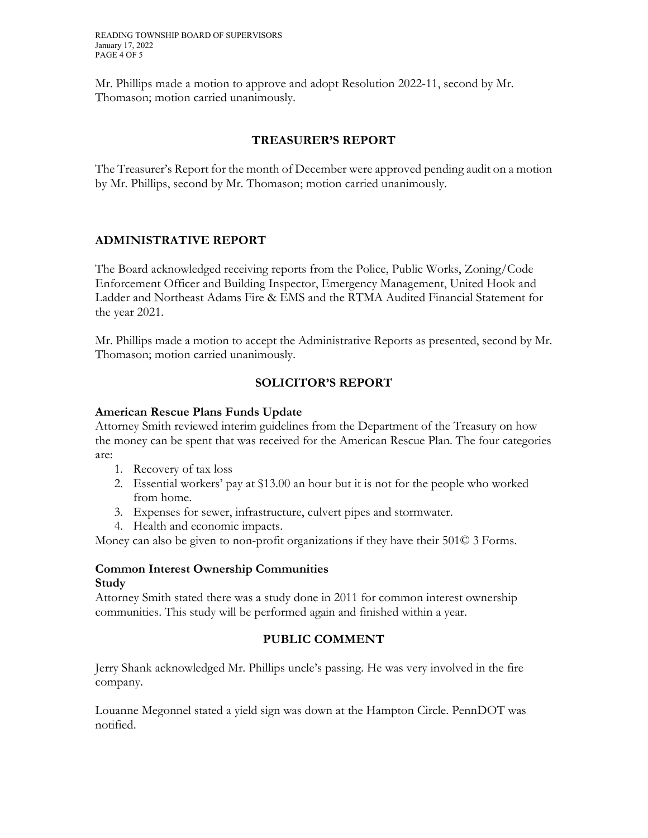Mr. Phillips made a motion to approve and adopt Resolution 2022-11, second by Mr. Thomason; motion carried unanimously.

# **TREASURER'S REPORT**

The Treasurer's Report for the month of December were approved pending audit on a motion by Mr. Phillips, second by Mr. Thomason; motion carried unanimously.

# **ADMINISTRATIVE REPORT**

The Board acknowledged receiving reports from the Police, Public Works, Zoning/Code Enforcement Officer and Building Inspector, Emergency Management, United Hook and Ladder and Northeast Adams Fire & EMS and the RTMA Audited Financial Statement for the year 2021.

Mr. Phillips made a motion to accept the Administrative Reports as presented, second by Mr. Thomason; motion carried unanimously.

# **SOLICITOR'S REPORT**

#### **American Rescue Plans Funds Update**

Attorney Smith reviewed interim guidelines from the Department of the Treasury on how the money can be spent that was received for the American Rescue Plan. The four categories are:

- 1. Recovery of tax loss
- 2. Essential workers' pay at \$13.00 an hour but it is not for the people who worked from home.
- 3. Expenses for sewer, infrastructure, culvert pipes and stormwater.
- 4. Health and economic impacts.

Money can also be given to non-profit organizations if they have their 501© 3 Forms.

#### **Common Interest Ownership Communities Study**

Attorney Smith stated there was a study done in 2011 for common interest ownership communities. This study will be performed again and finished within a year.

# **PUBLIC COMMENT**

Jerry Shank acknowledged Mr. Phillips uncle's passing. He was very involved in the fire company.

Louanne Megonnel stated a yield sign was down at the Hampton Circle. PennDOT was notified.